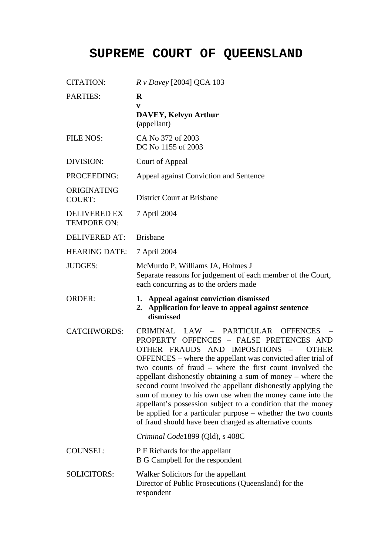## **SUPREME COURT OF QUEENSLAND**

| <b>CITATION:</b>                          | $Rv$ Davey [2004] QCA 103                                                                                                                                                                                                                                                                                                                                                                                                                                                                                                                                                                                                                                                           |
|-------------------------------------------|-------------------------------------------------------------------------------------------------------------------------------------------------------------------------------------------------------------------------------------------------------------------------------------------------------------------------------------------------------------------------------------------------------------------------------------------------------------------------------------------------------------------------------------------------------------------------------------------------------------------------------------------------------------------------------------|
| <b>PARTIES:</b>                           | $\bf{R}$<br>V<br><b>DAVEY, Kelvyn Arthur</b><br>(appellant)                                                                                                                                                                                                                                                                                                                                                                                                                                                                                                                                                                                                                         |
| <b>FILE NOS:</b>                          | CA No 372 of 2003<br>DC No 1155 of 2003                                                                                                                                                                                                                                                                                                                                                                                                                                                                                                                                                                                                                                             |
| DIVISION:                                 | Court of Appeal                                                                                                                                                                                                                                                                                                                                                                                                                                                                                                                                                                                                                                                                     |
| PROCEEDING:                               | Appeal against Conviction and Sentence                                                                                                                                                                                                                                                                                                                                                                                                                                                                                                                                                                                                                                              |
| ORIGINATING<br><b>COURT:</b>              | <b>District Court at Brisbane</b>                                                                                                                                                                                                                                                                                                                                                                                                                                                                                                                                                                                                                                                   |
| <b>DELIVERED EX</b><br><b>TEMPORE ON:</b> | 7 April 2004                                                                                                                                                                                                                                                                                                                                                                                                                                                                                                                                                                                                                                                                        |
| <b>DELIVERED AT:</b>                      | <b>Brisbane</b>                                                                                                                                                                                                                                                                                                                                                                                                                                                                                                                                                                                                                                                                     |
| <b>HEARING DATE:</b>                      | 7 April 2004                                                                                                                                                                                                                                                                                                                                                                                                                                                                                                                                                                                                                                                                        |
| JUDGES:                                   | McMurdo P, Williams JA, Holmes J<br>Separate reasons for judgement of each member of the Court,<br>each concurring as to the orders made                                                                                                                                                                                                                                                                                                                                                                                                                                                                                                                                            |
| <b>ORDER:</b>                             | Appeal against conviction dismissed<br>1.<br>Application for leave to appeal against sentence<br>2.<br>dismissed                                                                                                                                                                                                                                                                                                                                                                                                                                                                                                                                                                    |
|                                           |                                                                                                                                                                                                                                                                                                                                                                                                                                                                                                                                                                                                                                                                                     |
| <b>CATCHWORDS:</b>                        | CRIMINAL LAW – PARTICULAR<br><b>OFFENCES</b><br>PROPERTY OFFENCES - FALSE PRETENCES AND<br>OTHER FRAUDS AND IMPOSITIONS<br><b>OTHER</b><br>$\overline{\phantom{m}}$<br>OFFENCES - where the appellant was convicted after trial of<br>two counts of fraud – where the first count involved the<br>appellant dishonestly obtaining a sum of money – where the<br>second count involved the appellant dishonestly applying the<br>sum of money to his own use when the money came into the<br>appellant's possession subject to a condition that the money<br>be applied for a particular purpose – whether the two counts<br>of fraud should have been charged as alternative counts |
|                                           | Criminal Code1899 (Qld), s 408C                                                                                                                                                                                                                                                                                                                                                                                                                                                                                                                                                                                                                                                     |
| <b>COUNSEL:</b>                           | P F Richards for the appellant<br>B G Campbell for the respondent                                                                                                                                                                                                                                                                                                                                                                                                                                                                                                                                                                                                                   |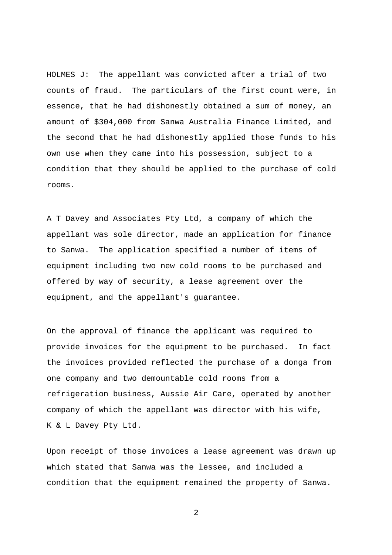HOLMES J: The appellant was convicted after a trial of two counts of fraud. The particulars of the first count were, in essence, that he had dishonestly obtained a sum of money, an amount of \$304,000 from Sanwa Australia Finance Limited, and the second that he had dishonestly applied those funds to his own use when they came into his possession, subject to a condition that they should be applied to the purchase of cold rooms.

A T Davey and Associates Pty Ltd, a company of which the appellant was sole director, made an application for finance to Sanwa. The application specified a number of items of equipment including two new cold rooms to be purchased and offered by way of security, a lease agreement over the equipment, and the appellant's guarantee.

On the approval of finance the applicant was required to provide invoices for the equipment to be purchased. In fact the invoices provided reflected the purchase of a donga from one company and two demountable cold rooms from a refrigeration business, Aussie Air Care, operated by another company of which the appellant was director with his wife, K & L Davey Pty Ltd.

Upon receipt of those invoices a lease agreement was drawn up which stated that Sanwa was the lessee, and included a condition that the equipment remained the property of Sanwa.

2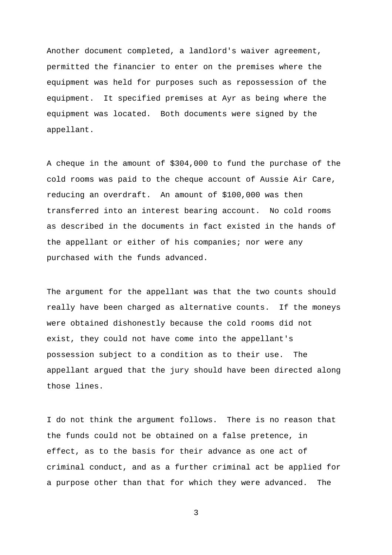Another document completed, a landlord's waiver agreement, permitted the financier to enter on the premises where the equipment was held for purposes such as repossession of the equipment. It specified premises at Ayr as being where the equipment was located. Both documents were signed by the appellant.

A cheque in the amount of \$304,000 to fund the purchase of the cold rooms was paid to the cheque account of Aussie Air Care, reducing an overdraft. An amount of \$100,000 was then transferred into an interest bearing account. No cold rooms as described in the documents in fact existed in the hands of the appellant or either of his companies; nor were any purchased with the funds advanced.

The argument for the appellant was that the two counts should really have been charged as alternative counts. If the moneys were obtained dishonestly because the cold rooms did not exist, they could not have come into the appellant's possession subject to a condition as to their use. The appellant argued that the jury should have been directed along those lines.

I do not think the argument follows. There is no reason that the funds could not be obtained on a false pretence, in effect, as to the basis for their advance as one act of criminal conduct, and as a further criminal act be applied for a purpose other than that for which they were advanced. The

3